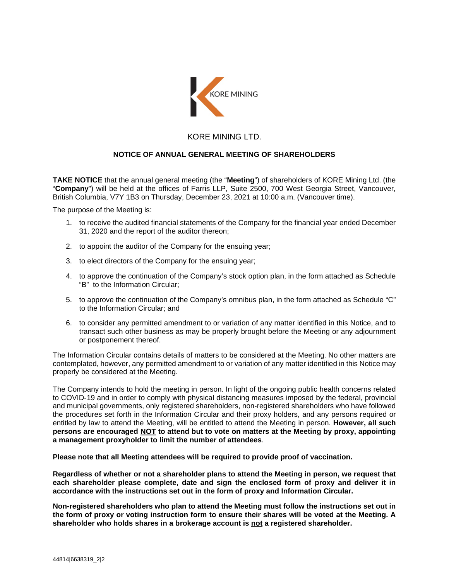

## KORE MINING LTD.

## **NOTICE OF ANNUAL GENERAL MEETING OF SHAREHOLDERS**

**TAKE NOTICE** that the annual general meeting (the "**Meeting**") of shareholders of KORE Mining Ltd. (the "**Company**") will be held at the offices of Farris LLP, Suite 2500, 700 West Georgia Street, Vancouver, British Columbia, V7Y 1B3 on Thursday, December 23, 2021 at 10:00 a.m. (Vancouver time).

The purpose of the Meeting is:

- 1. to receive the audited financial statements of the Company for the financial year ended December 31, 2020 and the report of the auditor thereon;
- 2. to appoint the auditor of the Company for the ensuing year;
- 3. to elect directors of the Company for the ensuing year;
- 4. to approve the continuation of the Company's stock option plan, in the form attached as Schedule "B" to the Information Circular;
- 5. to approve the continuation of the Company's omnibus plan, in the form attached as Schedule "C" to the Information Circular; and
- 6. to consider any permitted amendment to or variation of any matter identified in this Notice, and to transact such other business as may be properly brought before the Meeting or any adjournment or postponement thereof.

The Information Circular contains details of matters to be considered at the Meeting. No other matters are contemplated, however, any permitted amendment to or variation of any matter identified in this Notice may properly be considered at the Meeting.

The Company intends to hold the meeting in person. In light of the ongoing public health concerns related to COVID-19 and in order to comply with physical distancing measures imposed by the federal, provincial and municipal governments, only registered shareholders, non-registered shareholders who have followed the procedures set forth in the Information Circular and their proxy holders, and any persons required or entitled by law to attend the Meeting, will be entitled to attend the Meeting in person. **However, all such persons are encouraged NOT to attend but to vote on matters at the Meeting by proxy, appointing a management proxyholder to limit the number of attendees**.

**Please note that all Meeting attendees will be required to provide proof of vaccination.** 

**Regardless of whether or not a shareholder plans to attend the Meeting in person, we request that each shareholder please complete, date and sign the enclosed form of proxy and deliver it in accordance with the instructions set out in the form of proxy and Information Circular.** 

**Non-registered shareholders who plan to attend the Meeting must follow the instructions set out in the form of proxy or voting instruction form to ensure their shares will be voted at the Meeting. A shareholder who holds shares in a brokerage account is not a registered shareholder.**